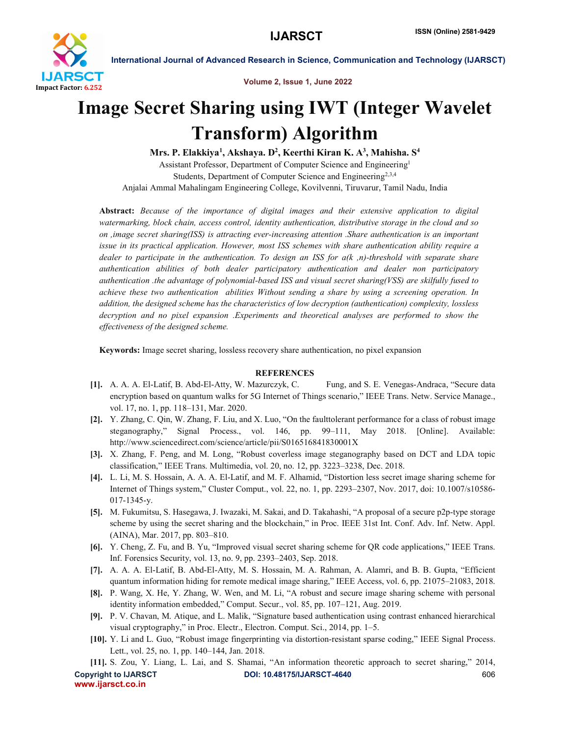

International Journal of Advanced Research in Science, Communication and Technology (IJARSCT)

Volume 2, Issue 1, June 2022

# Image Secret Sharing using IWT (Integer Wavelet Transform) Algorithm

Mrs. P. Elakkiya<sup>1</sup>, Akshaya. D<sup>2</sup>, Keerthi Kiran K. A<sup>3</sup>, Mahisha. S<sup>4</sup>

Assistant Professor, Department of Computer Science and Engineering1 Students, Department of Computer Science and Engineering2,3,4 Anjalai Ammal Mahalingam Engineering College, Kovilvenni, Tiruvarur, Tamil Nadu, India

Abstract: *Because of the importance of digital images and their extensive application to digital watermarking, block chain, access control, identity authentication, distributive storage in the cloud and so on ,image secret sharing(ISS) is attracting ever-increasing attention .Share authentication is an important issue in its practical application. However, most ISS schemes with share authentication ability require a dealer to participate in the authentication. To design an ISS for a(k ,n)-threshold with separate share authentication abilities of both dealer participatory authentication and dealer non participatory authentication .the advantage of polynomial-based ISS and visual secret sharing(VSS) are skilfully fused to achieve these two authentication abilities Without sending a share by using a screening operation. In addition, the designed scheme has the characteristics of low decryption (authentication) complexity, lossless decryption and no pixel expansion .Experiments and theoretical analyses are performed to show the effectiveness of the designed scheme.*

Keywords: Image secret sharing, lossless recovery share authentication, no pixel expansion

## **REFERENCES**

- [1]. A. A. A. El-Latif, B. Abd-El-Atty, W. Mazurczyk, C. Fung, and S. E. Venegas-Andraca, "Secure data encryption based on quantum walks for 5G Internet of Things scenario," IEEE Trans. Netw. Service Manage., vol. 17, no. 1, pp. 118–131, Mar. 2020.
- [2]. Y. Zhang, C. Qin, W. Zhang, F. Liu, and X. Luo, "On the faulttolerant performance for a class of robust image steganography," Signal Process., vol. 146, pp. 99–111, May 2018. [Online]. Available: http://www.sciencedirect.com/science/article/pii/S016516841830001X
- [3]. X. Zhang, F. Peng, and M. Long, "Robust coverless image steganography based on DCT and LDA topic classification," IEEE Trans. Multimedia, vol. 20, no. 12, pp. 3223–3238, Dec. 2018.
- [4]. L. Li, M. S. Hossain, A. A. A. El-Latif, and M. F. Alhamid, "Distortion less secret image sharing scheme for Internet of Things system," Cluster Comput., vol. 22, no. 1, pp. 2293–2307, Nov. 2017, doi: 10.1007/s10586- 017-1345-y.
- [5]. M. Fukumitsu, S. Hasegawa, J. Iwazaki, M. Sakai, and D. Takahashi, "A proposal of a secure p2p-type storage scheme by using the secret sharing and the blockchain," in Proc. IEEE 31st Int. Conf. Adv. Inf. Netw. Appl. (AINA), Mar. 2017, pp. 803–810.
- [6]. Y. Cheng, Z. Fu, and B. Yu, "Improved visual secret sharing scheme for QR code applications," IEEE Trans. Inf. Forensics Security, vol. 13, no. 9, pp. 2393–2403, Sep. 2018.
- [7]. A. A. A. El-Latif, B. Abd-El-Atty, M. S. Hossain, M. A. Rahman, A. Alamri, and B. B. Gupta, "Efficient quantum information hiding for remote medical image sharing," IEEE Access, vol. 6, pp. 21075–21083, 2018.
- [8]. P. Wang, X. He, Y. Zhang, W. Wen, and M. Li, "A robust and secure image sharing scheme with personal identity information embedded," Comput. Secur., vol. 85, pp. 107–121, Aug. 2019.
- [9]. P. V. Chavan, M. Atique, and L. Malik, "Signature based authentication using contrast enhanced hierarchical visual cryptography," in Proc. Electr., Electron. Comput. Sci., 2014, pp. 1–5.
- [10]. Y. Li and L. Guo, "Robust image fingerprinting via distortion-resistant sparse coding," IEEE Signal Process. Lett., vol. 25, no. 1, pp. 140–144, Jan. 2018.

Copyright to IJARSCT **DOI: 10.48175/IJARSCT-4640** 606 www.ijarsct.co.in [11]. S. Zou, Y. Liang, L. Lai, and S. Shamai, "An information theoretic approach to secret sharing," 2014,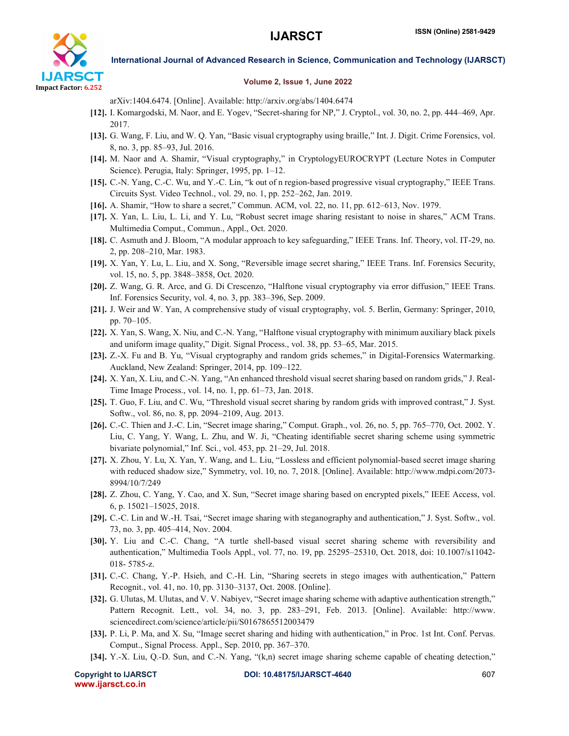

International Journal of Advanced Research in Science, Communication and Technology (IJARSCT)

### Volume 2, Issue 1, June 2022

arXiv:1404.6474. [Online]. Available: http://arxiv.org/abs/1404.6474

- [12]. I. Komargodski, M. Naor, and E. Yogev, "Secret-sharing for NP," J. Cryptol., vol. 30, no. 2, pp. 444–469, Apr. 2017.
- [13]. G. Wang, F. Liu, and W. Q. Yan, "Basic visual cryptography using braille," Int. J. Digit. Crime Forensics, vol. 8, no. 3, pp. 85–93, Jul. 2016.
- [14]. M. Naor and A. Shamir, "Visual cryptography," in CryptologyEUROCRYPT (Lecture Notes in Computer Science). Perugia, Italy: Springer, 1995, pp. 1–12.
- [15]. C.-N. Yang, C.-C. Wu, and Y.-C. Lin, "k out of n region-based progressive visual cryptography," IEEE Trans. Circuits Syst. Video Technol., vol. 29, no. 1, pp. 252–262, Jan. 2019.
- [16]. A. Shamir, "How to share a secret," Commun. ACM, vol. 22, no. 11, pp. 612–613, Nov. 1979.
- [17]. X. Yan, L. Liu, L. Li, and Y. Lu, "Robust secret image sharing resistant to noise in shares," ACM Trans. Multimedia Comput., Commun., Appl., Oct. 2020.
- [18]. C. Asmuth and J. Bloom, "A modular approach to key safeguarding," IEEE Trans. Inf. Theory, vol. IT-29, no. 2, pp. 208–210, Mar. 1983.
- [19]. X. Yan, Y. Lu, L. Liu, and X. Song, "Reversible image secret sharing," IEEE Trans. Inf. Forensics Security, vol. 15, no. 5, pp. 3848–3858, Oct. 2020.
- [20]. Z. Wang, G. R. Arce, and G. Di Crescenzo, "Halftone visual cryptography via error diffusion," IEEE Trans. Inf. Forensics Security, vol. 4, no. 3, pp. 383–396, Sep. 2009.
- [21]. J. Weir and W. Yan, A comprehensive study of visual cryptography, vol. 5. Berlin, Germany: Springer, 2010, pp. 70–105.
- [22]. X. Yan, S. Wang, X. Niu, and C.-N. Yang, "Halftone visual cryptography with minimum auxiliary black pixels and uniform image quality," Digit. Signal Process., vol. 38, pp. 53–65, Mar. 2015.
- [23]. Z.-X. Fu and B. Yu, "Visual cryptography and random grids schemes," in Digital-Forensics Watermarking. Auckland, New Zealand: Springer, 2014, pp. 109–122.
- [24]. X. Yan, X. Liu, and C.-N. Yang, "An enhanced threshold visual secret sharing based on random grids," J. Real-Time Image Process., vol. 14, no. 1, pp. 61–73, Jan. 2018.
- [25]. T. Guo, F. Liu, and C. Wu, "Threshold visual secret sharing by random grids with improved contrast," J. Syst. Softw., vol. 86, no. 8, pp. 2094–2109, Aug. 2013.
- [26]. C.-C. Thien and J.-C. Lin, "Secret image sharing," Comput. Graph., vol. 26, no. 5, pp. 765–770, Oct. 2002. Y. Liu, C. Yang, Y. Wang, L. Zhu, and W. Ji, "Cheating identifiable secret sharing scheme using symmetric bivariate polynomial," Inf. Sci., vol. 453, pp. 21–29, Jul. 2018.
- [27]. X. Zhou, Y. Lu, X. Yan, Y. Wang, and L. Liu, "Lossless and efficient polynomial-based secret image sharing with reduced shadow size," Symmetry, vol. 10, no. 7, 2018. [Online]. Available: http://www.mdpi.com/2073- 8994/10/7/249
- [28]. Z. Zhou, C. Yang, Y. Cao, and X. Sun, "Secret image sharing based on encrypted pixels," IEEE Access, vol. 6, p. 15021–15025, 2018.
- [29]. C.-C. Lin and W.-H. Tsai, "Secret image sharing with steganography and authentication," J. Syst. Softw., vol. 73, no. 3, pp. 405–414, Nov. 2004.
- [30]. Y. Liu and C.-C. Chang, "A turtle shell-based visual secret sharing scheme with reversibility and authentication," Multimedia Tools Appl., vol. 77, no. 19, pp. 25295–25310, Oct. 2018, doi: 10.1007/s11042- 018- 5785-z.
- [31]. C.-C. Chang, Y.-P. Hsieh, and C.-H. Lin, "Sharing secrets in stego images with authentication," Pattern Recognit., vol. 41, no. 10, pp. 3130–3137, Oct. 2008. [Online].
- [32]. G. Ulutas, M. Ulutas, and V. V. Nabiyev, "Secret image sharing scheme with adaptive authentication strength," Pattern Recognit. Lett., vol. 34, no. 3, pp. 283–291, Feb. 2013. [Online]. Available: http://www. sciencedirect.com/science/article/pii/S0167865512003479
- [33]. P. Li, P. Ma, and X. Su, "Image secret sharing and hiding with authentication," in Proc. 1st Int. Conf. Pervas. Comput., Signal Process. Appl., Sep. 2010, pp. 367–370.
- [34]. Y.-X. Liu, Q.-D. Sun, and C.-N. Yang, "(k,n) secret image sharing scheme capable of cheating detection,"